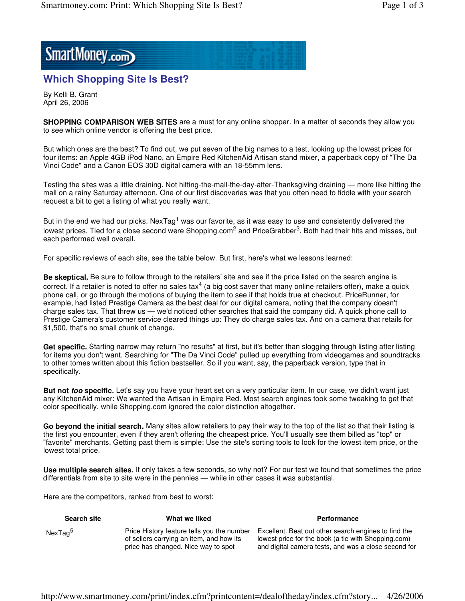SmartMoney.com

## **Which Shopping Site Is Best?**

By Kelli B. Grant April 26, 2006

**SHOPPING COMPARISON WEB SITES** are a must for any online shopper. In a matter of seconds they allow you to see which online vendor is offering the best price.

But which ones are the best? To find out, we put seven of the big names to a test, looking up the lowest prices for four items: an Apple 4GB iPod Nano, an Empire Red KitchenAid Artisan stand mixer, a paperback copy of "The Da Vinci Code" and a Canon EOS 30D digital camera with an 18-55mm lens.

Testing the sites was a little draining. Not hitting-the-mall-the-day-after-Thanksgiving draining — more like hitting the mall on a rainy Saturday afternoon. One of our first discoveries was that you often need to fiddle with your search request a bit to get a listing of what you really want.

But in the end we had our picks. NexTag<sup>1</sup> was our favorite, as it was easy to use and consistently delivered the lowest prices. Tied for a close second were Shopping.com<sup>2</sup> and PriceGrabber<sup>3</sup>. Both had their hits and misses, but each performed well overall.

For specific reviews of each site, see the table below. But first, here's what we lessons learned:

**Be skeptical.** Be sure to follow through to the retailers' site and see if the price listed on the search engine is correct. If a retailer is noted to offer no sales tax<sup>4</sup> (a big cost saver that many online retailers offer), make a quick phone call, or go through the motions of buying the item to see if that holds true at checkout. PriceRunner, for example, had listed Prestige Camera as the best deal for our digital camera, noting that the company doesn't charge sales tax. That threw us — we'd noticed other searches that said the company did. A quick phone call to Prestige Camera's customer service cleared things up: They do charge sales tax. And on a camera that retails for \$1,500, that's no small chunk of change.

**Get specific.** Starting narrow may return "no results" at first, but it's better than slogging through listing after listing for items you don't want. Searching for "The Da Vinci Code" pulled up everything from videogames and soundtracks to other tomes written about this fiction bestseller. So if you want, say, the paperback version, type that in specifically.

**But not** *too* **specific.** Let's say you have your heart set on a very particular item. In our case, we didn't want just any KitchenAid mixer: We wanted the Artisan in Empire Red. Most search engines took some tweaking to get that color specifically, while Shopping.com ignored the color distinction altogether.

**Go beyond the initial search.** Many sites allow retailers to pay their way to the top of the list so that their listing is the first you encounter, even if they aren't offering the cheapest price. You'll usually see them billed as "top" or "favorite" merchants. Getting past them is simple: Use the site's sorting tools to look for the lowest item price, or the lowest total price.

**Use multiple search sites.** It only takes a few seconds, so why not? For our test we found that sometimes the price differentials from site to site were in the pennies — while in other cases it was substantial.

Here are the competitors, ranked from best to worst:

| <b>Search site</b>  | What we liked                                                                                                                 | <b>Performance</b>                                                                                                                                                  |
|---------------------|-------------------------------------------------------------------------------------------------------------------------------|---------------------------------------------------------------------------------------------------------------------------------------------------------------------|
| NexTag <sup>5</sup> | Price History feature tells you the number<br>of sellers carrying an item, and how its<br>price has changed. Nice way to spot | Excellent. Beat out other search engines to find the<br>lowest price for the book (a tie with Shopping.com)<br>and digital camera tests, and was a close second for |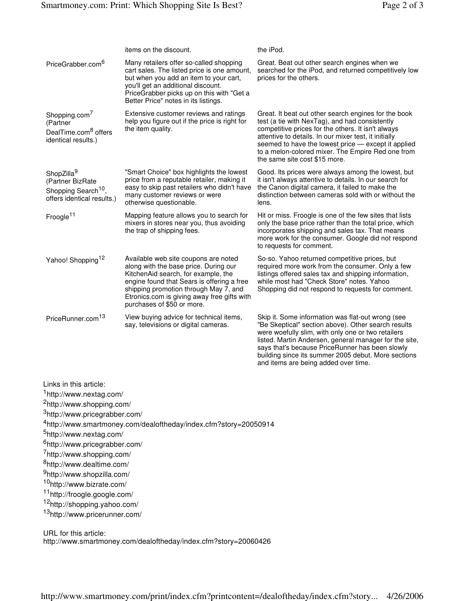|                                                                                                                                                                                                                                                                                                               | items on the discount.                                                                                                                                                                                                                                                                   | the iPod.                                                                                                                                                                                                                                                                                                                                                                  |
|---------------------------------------------------------------------------------------------------------------------------------------------------------------------------------------------------------------------------------------------------------------------------------------------------------------|------------------------------------------------------------------------------------------------------------------------------------------------------------------------------------------------------------------------------------------------------------------------------------------|----------------------------------------------------------------------------------------------------------------------------------------------------------------------------------------------------------------------------------------------------------------------------------------------------------------------------------------------------------------------------|
| PriceGrabber.com <sup>6</sup>                                                                                                                                                                                                                                                                                 | Many retailers offer so-called shopping<br>cart sales. The listed price is one amount,<br>but when you add an item to your cart,<br>you'll get an additional discount.<br>PriceGrabber picks up on this with "Get a<br>Better Price" notes in its listings.                              | Great. Beat out other search engines when we<br>searched for the iPod, and returned competitively low<br>prices for the others.                                                                                                                                                                                                                                            |
| Shopping.com <sup>7</sup><br>(Partner<br>DealTime.com <sup>8</sup> offers<br>identical results.)                                                                                                                                                                                                              | Extensive customer reviews and ratings<br>help you figure out if the price is right for<br>the item quality.                                                                                                                                                                             | Great. It beat out other search engines for the book<br>test (a tie with NexTag), and had consistently<br>competitive prices for the others. It isn't always<br>attentive to details. In our mixer test, it initially<br>seemed to have the lowest price - except it applied<br>to a melon-colored mixer. The Empire Red one from<br>the same site cost \$15 more.         |
| ShopZilla <sup>9</sup><br>(Partner BizRate<br>Shopping Search <sup>10</sup> ,<br>offers identical results.)                                                                                                                                                                                                   | "Smart Choice" box highlights the lowest<br>price from a reputable retailer, making it<br>easy to skip past retailers who didn't have<br>many customer reviews or were<br>otherwise questionable.                                                                                        | Good. Its prices were always among the lowest, but<br>it isn't always attentive to details. In our search for<br>the Canon digital camera, it failed to make the<br>distinction between cameras sold with or without the<br>lens.                                                                                                                                          |
| Froogle <sup>11</sup>                                                                                                                                                                                                                                                                                         | Mapping feature allows you to search for<br>mixers in stores near you, thus avoiding<br>the trap of shipping fees.                                                                                                                                                                       | Hit or miss. Froogle is one of the few sites that lists<br>only the base price rather than the total price, which<br>incorporates shipping and sales tax. That means<br>more work for the consumer. Google did not respond<br>to requests for comment.                                                                                                                     |
| Yahoo! Shopping <sup>12</sup>                                                                                                                                                                                                                                                                                 | Available web site coupons are noted<br>along with the base price. During our<br>KitchenAid search, for example, the<br>engine found that Sears is offering a free<br>shipping promotion through May 7, and<br>Etronics.com is giving away free gifts with<br>purchases of \$50 or more. | So-so. Yahoo returned competitive prices, but<br>required more work from the consumer. Only a few<br>listings offered sales tax and shipping information,<br>while most had "Check Store" notes. Yahoo<br>Shopping did not respond to requests for comment.                                                                                                                |
| PriceRunner.com <sup>13</sup>                                                                                                                                                                                                                                                                                 | View buying advice for technical items,<br>say, televisions or digital cameras.                                                                                                                                                                                                          | Skip it. Some information was flat-out wrong (see<br>"Be Skeptical" section above). Other search results<br>were woefully slim, with only one or two retailers<br>listed. Martin Andersen, general manager for the site,<br>says that's because PriceRunner has been slowly<br>building since its summer 2005 debut. More sections<br>and items are being added over time. |
| Links in this article:<br><sup>1</sup> http://www.nextag.com/<br><sup>2</sup> http://www.shopping.com/<br><sup>3</sup> http://www.pricegrabber.com/<br><sup>5</sup> http://www.nextag.com/<br><sup>6</sup> http://www.pricegrabber.com/<br>7http://www.shopping.com/<br><sup>8</sup> http://www.dealtime.com/ | <sup>4</sup> http://www.smartmoney.com/dealoftheday/index.cfm?story=20050914                                                                                                                                                                                                             |                                                                                                                                                                                                                                                                                                                                                                            |
| <sup>9</sup> http://www.shopzilla.com/                                                                                                                                                                                                                                                                        |                                                                                                                                                                                                                                                                                          |                                                                                                                                                                                                                                                                                                                                                                            |

<sup>10</sup>http://www.bizrate.com/

<sup>11</sup>http://froogle.google.com/

<sup>12</sup>http://shopping.yahoo.com/

<sup>13</sup>http://www.pricerunner.com/

URL for this article:

http://www.smartmoney.com/dealoftheday/index.cfm?story=20060426